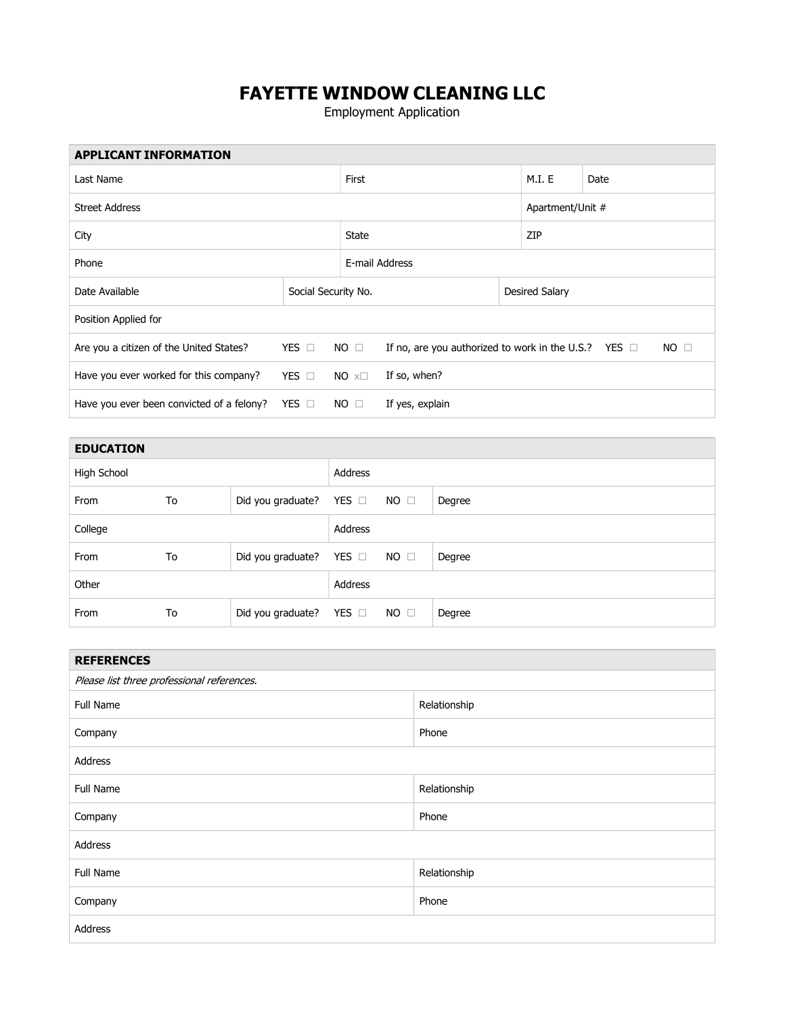## FAYETTE WINDOW CLEANING LLC

Employment Application

| <b>APPLICANT INFORMATION</b>              |                     |                                                                           |                 |  |                  |              |  |
|-------------------------------------------|---------------------|---------------------------------------------------------------------------|-----------------|--|------------------|--------------|--|
| Last Name                                 |                     |                                                                           | First           |  |                  | Date         |  |
| <b>Street Address</b>                     |                     |                                                                           |                 |  | Apartment/Unit # |              |  |
| City                                      |                     |                                                                           | State           |  | ZIP              |              |  |
| Phone                                     |                     |                                                                           | E-mail Address  |  |                  |              |  |
| Date Available                            | Social Security No. |                                                                           |                 |  | Desired Salary   |              |  |
| Position Applied for                      |                     |                                                                           |                 |  |                  |              |  |
| Are you a citizen of the United States?   | YES $\Box$          | If no, are you authorized to work in the U.S.? YES $\Box$<br>$NO \square$ |                 |  |                  | $NO \square$ |  |
| Have you ever worked for this company?    | YES $\Box$          | $NO \times \square$                                                       | If so, when?    |  |                  |              |  |
| Have you ever been convicted of a felony? | YES $\Box$          | $NO \square$                                                              | If yes, explain |  |                  |              |  |

| <b>EDUCATION</b> |    |                              |            |             |        |
|------------------|----|------------------------------|------------|-------------|--------|
| High School      |    |                              | Address    |             |        |
| From             | To | Did you graduate? YES $\Box$ |            | $NO$ $\Box$ | Degree |
| College          |    |                              | Address    |             |        |
| From             | To | Did you graduate?            | YES $\Box$ | $NO$ $\Box$ | Degree |
| Other            |    | Address                      |            |             |        |
| From             | To | Did you graduate? YES $\Box$ |            | $NO$ $\Box$ | Degree |

| <b>REFERENCES</b>                          |              |  |  |  |
|--------------------------------------------|--------------|--|--|--|
| Please list three professional references. |              |  |  |  |
| <b>Full Name</b>                           | Relationship |  |  |  |
| Company                                    | Phone        |  |  |  |
| Address                                    |              |  |  |  |
| Full Name                                  | Relationship |  |  |  |
| Company                                    | Phone        |  |  |  |
| Address                                    |              |  |  |  |
| Full Name                                  | Relationship |  |  |  |
| Company                                    | Phone        |  |  |  |
| Address                                    |              |  |  |  |